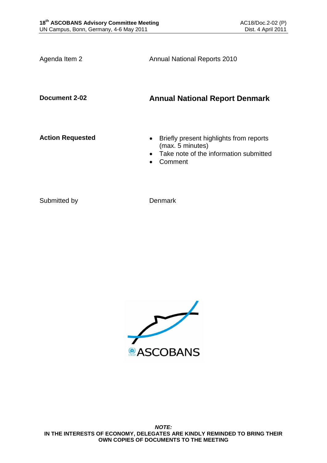Agenda Item 2 **Annual National Reports 2010** 

# **Document 2-02 Annual National Report Denmark**

- **Action Requested Briefly present highlights from reports** (max. 5 minutes)
	- Take note of the information submitted
	- Comment

Submitted by Denmark

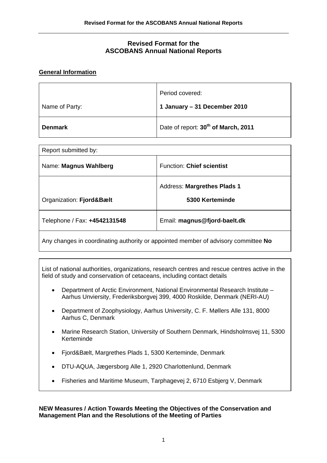# **Revised Format for the ASCOBANS Annual National Reports**

### **General Information**

| Name of Party: | Period covered:<br>1 January - 31 December 2010 |
|----------------|-------------------------------------------------|
| <b>Denmark</b> | Date of report: 30 <sup>th</sup> of March, 2011 |

| Report submitted by:         |                                                       |  |
|------------------------------|-------------------------------------------------------|--|
| Name: Magnus Wahlberg        | <b>Function: Chief scientist</b>                      |  |
| Organization: Fjord&Bælt     | <b>Address: Margrethes Plads 1</b><br>5300 Kerteminde |  |
| Telephone / Fax: +4542131548 | Email: magnus@fjord-baelt.dk                          |  |

Any changes in coordinating authority or appointed member of advisory committee **No**

List of national authorities, organizations, research centres and rescue centres active in the field of study and conservation of cetaceans, including contact details

- Department of Arctic Environment, National Environmental Research Institute Aarhus Unviersity, Frederiksborgvej 399, 4000 Roskilde, Denmark (NERI-AU)
- Department of Zoophysiology, Aarhus University, C. F. Møllers Alle 131, 8000 Aarhus C, Denmark
- Marine Research Station, University of Southern Denmark, Hindsholmsvej 11, 5300 Kerteminde
- Fjord&Bælt, Margrethes Plads 1, 5300 Kerteminde, Denmark
- DTU-AQUA, Jægersborg Alle 1, 2920 Charlottenlund, Denmark
- Fisheries and Maritime Museum, Tarphagevej 2, 6710 Esbjerg V, Denmark

**NEW Measures / Action Towards Meeting the Objectives of the Conservation and Management Plan and the Resolutions of the Meeting of Parties**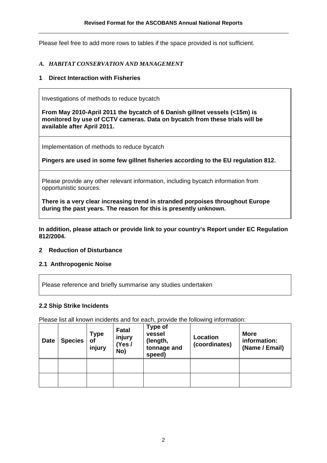Please feel free to add more rows to tables if the space provided is not sufficient.

# *A. HABITAT CONSERVATION AND MANAGEMENT*

# **1 Direct Interaction with Fisheries**

Investigations of methods to reduce bycatch

**From May 2010-April 2011 the bycatch of 6 Danish gillnet vessels (<15m) is monitored by use of CCTV cameras. Data on bycatch from these trials will be available after April 2011.** 

Implementation of methods to reduce bycatch

**Pingers are used in some few gillnet fisheries according to the EU regulation 812.** 

Please provide any other relevant information, including bycatch information from opportunistic sources.

**There is a very clear increasing trend in stranded porpoises throughout Europe during the past years. The reason for this is presently unknown.** 

**In addition, please attach or provide link to your country's Report under EC Regulation 812/2004.** 

# **2 Reduction of Disturbance**

# **2.1 Anthropogenic Noise**

Please reference and briefly summarise any studies undertaken

# **2.2 Ship Strike Incidents**

Please list all known incidents and for each, provide the following information:

| <b>Date</b> | <b>Species</b> | <b>Type</b><br>of<br>injury | <b>Fatal</b><br>injury<br>(Yes /<br>No) | Type of<br>vessel<br>(length,<br>tonnage and<br>speed) | Location<br>(coordinates) | <b>More</b><br>information:<br>(Name / Email) |
|-------------|----------------|-----------------------------|-----------------------------------------|--------------------------------------------------------|---------------------------|-----------------------------------------------|
|             |                |                             |                                         |                                                        |                           |                                               |
|             |                |                             |                                         |                                                        |                           |                                               |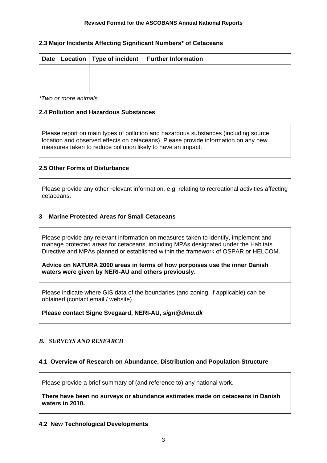#### **2.3 Major Incidents Affecting Significant Numbers\* of Cetaceans**

|  | Date   Location   Type of incident   Further Information |
|--|----------------------------------------------------------|
|  |                                                          |
|  |                                                          |

*\*Two or more animals* 

#### **2.4 Pollution and Hazardous Substances**

Please report on main types of pollution and hazardous substances (including source, location and observed effects on cetaceans). Please provide information on any new measures taken to reduce pollution likely to have an impact.

#### **2.5 Other Forms of Disturbance**

Please provide any other relevant information, e.g. relating to recreational activities affecting cetaceans.

#### **3 Marine Protected Areas for Small Cetaceans**

Please provide any relevant information on measures taken to identify, implement and manage protected areas for cetaceans, including MPAs designated under the Habitats Directive and MPAs planned or established within the framework of OSPAR or HELCOM.

**Advice on NATURA 2000 areas in terms of how porpoises use the inner Danish waters were given by NERI-AU and others previously.** 

Please indicate where GIS data of the boundaries (and zoning, if applicable) can be obtained (contact email / website).

#### **Please contact Signe Svegaard, NERI-AU,** *sign@dmu.dk*

#### *B. SURVEYS AND RESEARCH*

### **4.1 Overview of Research on Abundance, Distribution and Population Structure**

Please provide a brief summary of (and reference to) any national work.

**There have been no surveys or abundance estimates made on cetaceans in Danish waters in 2010.**

#### **4.2 New Technological Developments**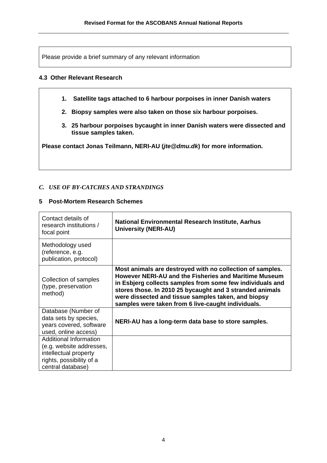Please provide a brief summary of any relevant information

### **4.3 Other Relevant Research**

- **1. Satellite tags attached to 6 harbour porpoises in inner Danish waters**
- **2. Biopsy samples were also taken on those six harbour porpoises.**
- **3. 25 harbour porpoises bycaught in inner Danish waters were dissected and tissue samples taken.**

**Please contact Jonas Teilmann, NERI-AU (***jte@dmu.dk***) for more information.** 

### *C. USE OF BY-CATCHES AND STRANDINGS*

### **5 Post-Mortem Research Schemes**

| Contact details of<br>research institutions /<br>focal point                                    | <b>National Environmental Research Institute, Aarhus</b><br><b>University (NERI-AU)</b>                                                                                                                                                                                                                                                                  |
|-------------------------------------------------------------------------------------------------|----------------------------------------------------------------------------------------------------------------------------------------------------------------------------------------------------------------------------------------------------------------------------------------------------------------------------------------------------------|
| Methodology used<br>(reference, e.g.<br>publication, protocol)                                  |                                                                                                                                                                                                                                                                                                                                                          |
| Collection of samples<br>(type, preservation<br>method)                                         | Most animals are destroyed with no collection of samples.<br>However NERI-AU and the Fisheries and Maritime Museum<br>in Esbjerg collects samples from some few individuals and<br>stores those. In 2010 25 bycaught and 3 stranded animals<br>were dissected and tissue samples taken, and biopsy<br>samples were taken from 6 live-caught individuals. |
| Database (Number of<br>data sets by species,<br>years covered, software<br>used, online access) | NERI-AU has a long-term data base to store samples.                                                                                                                                                                                                                                                                                                      |
| Additional Information<br>(e.g. website addresses,                                              |                                                                                                                                                                                                                                                                                                                                                          |
| intellectual property                                                                           |                                                                                                                                                                                                                                                                                                                                                          |
| rights, possibility of a                                                                        |                                                                                                                                                                                                                                                                                                                                                          |
| central database)                                                                               |                                                                                                                                                                                                                                                                                                                                                          |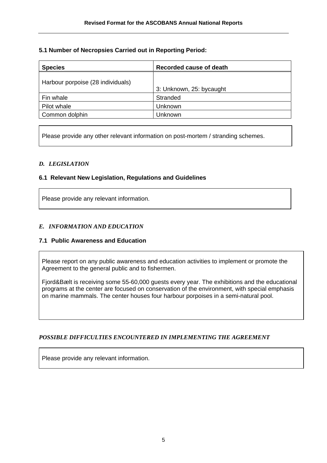# **5.1 Number of Necropsies Carried out in Reporting Period:**

| <b>Species</b>                    | Recorded cause of death  |
|-----------------------------------|--------------------------|
| Harbour porpoise (28 individuals) | 3: Unknown, 25: bycaught |
| Fin whale                         | Stranded                 |
| Pilot whale                       | Unknown                  |
| Common dolphin                    | Unknown                  |

Please provide any other relevant information on post-mortem / stranding schemes.

### *D. LEGISLATION*

### **6.1 Relevant New Legislation, Regulations and Guidelines**

Please provide any relevant information.

### *E. INFORMATION AND EDUCATION*

### **7.1 Public Awareness and Education**

Please report on any public awareness and education activities to implement or promote the Agreement to the general public and to fishermen.

Fjord&Bælt is receiving some 55-60,000 guests every year. The exhibitions and the educational programs at the center are focused on conservation of the environment, with special emphasis on marine mammals. The center houses four harbour porpoises in a semi-natural pool.

### *POSSIBLE DIFFICULTIES ENCOUNTERED IN IMPLEMENTING THE AGREEMENT*

Please provide any relevant information.